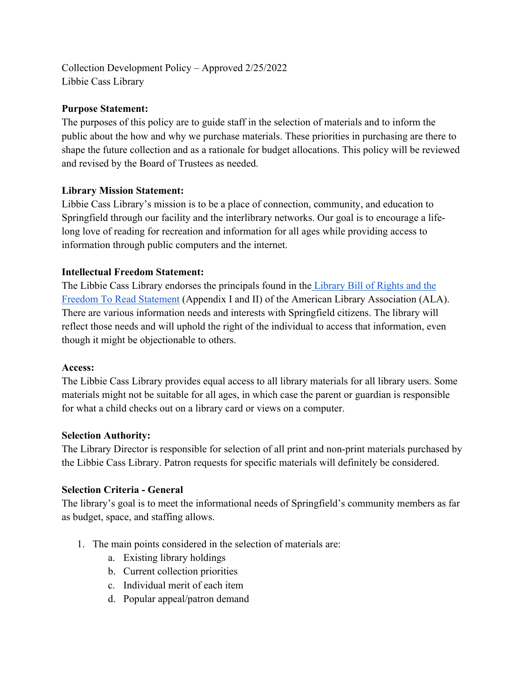Collection Development Policy – Approved 2/25/2022 Libbie Cass Library

# **Purpose Statement:**

The purposes of this policy are to guide staff in the selection of materials and to inform the public about the how and why we purchase materials. These priorities in purchasing are there to shape the future collection and as a rationale for budget allocations. This policy will be reviewed and revised by the Board of Trustees as needed.

# **Library Mission Statement:**

Libbie Cass Library's mission is to be a place of connection, community, and education to Springfield through our facility and the interlibrary networks. Our goal is to encourage a lifelong love of reading for recreation and information for all ages while providing access to information through public computers and the internet.

# **Intellectual Freedom Statement:**

The Libbie Cass Library endorses the principals found in the Library Bill of Rights and the Freedom To Read Statement (Appendix I and II) of the American Library Association (ALA). There are various information needs and interests with Springfield citizens. The library will reflect those needs and will uphold the right of the individual to access that information, even though it might be objectionable to others.

## **Access:**

The Libbie Cass Library provides equal access to all library materials for all library users. Some materials might not be suitable for all ages, in which case the parent or guardian is responsible for what a child checks out on a library card or views on a computer.

## **Selection Authority:**

The Library Director is responsible for selection of all print and non-print materials purchased by the Libbie Cass Library. Patron requests for specific materials will definitely be considered.

## **Selection Criteria - General**

The library's goal is to meet the informational needs of Springfield's community members as far as budget, space, and staffing allows.

- 1. The main points considered in the selection of materials are:
	- a. Existing library holdings
	- b. Current collection priorities
	- c. Individual merit of each item
	- d. Popular appeal/patron demand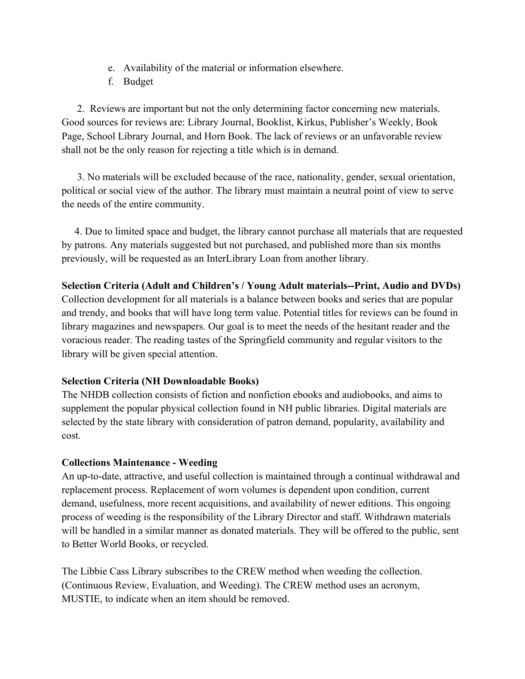- e. Availability of the material or information elsewhere.
- f. Budget

 2. Reviews are important but not the only determining factor concerning new materials. Good sources for reviews are: Library Journal, Booklist, Kirkus, Publisher's Weekly, Book Page, School Library Journal, and Horn Book. The lack of reviews or an unfavorable review shall not be the only reason for rejecting a title which is in demand.

 3. No materials will be excluded because of the race, nationality, gender, sexual orientation, political or social view of the author. The library must maintain a neutral point of view to serve the needs of the entire community.

 4. Due to limited space and budget, the library cannot purchase all materials that are requested by patrons. Any materials suggested but not purchased, and published more than six months previously, will be requested as an InterLibrary Loan from another library.

#### **Selection Criteria (Adult and Children's / Young Adult materials--Print, Audio and DVDs)**

Collection development for all materials is a balance between books and series that are popular and trendy, and books that will have long term value. Potential titles for reviews can be found in library magazines and newspapers. Our goal is to meet the needs of the hesitant reader and the voracious reader. The reading tastes of the Springfield community and regular visitors to the library will be given special attention.

## **Selection Criteria (NH Downloadable Books)**

The NHDB collection consists of fiction and nonfiction ebooks and audiobooks, and aims to supplement the popular physical collection found in NH public libraries. Digital materials are selected by the state library with consideration of patron demand, popularity, availability and cost.

## **Collections Maintenance - Weeding**

An up-to-date, attractive, and useful collection is maintained through a continual withdrawal and replacement process. Replacement of worn volumes is dependent upon condition, current demand, usefulness, more recent acquisitions, and availability of newer editions. This ongoing process of weeding is the responsibility of the Library Director and staff. Withdrawn materials will be handled in a similar manner as donated materials. They will be offered to the public, sent to Better World Books, or recycled.

The Libbie Cass Library subscribes to the CREW method when weeding the collection. (Continuous Review, Evaluation, and Weeding). The CREW method uses an acronym, MUSTIE, to indicate when an item should be removed.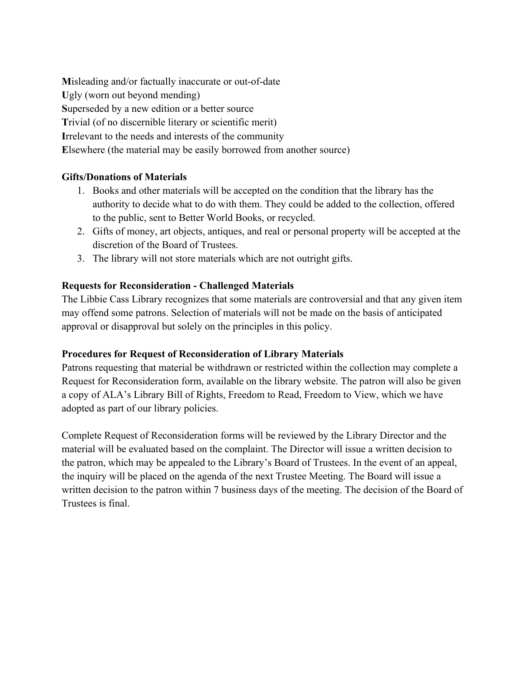**M**isleading and/or factually inaccurate or out-of-date **U**gly (worn out beyond mending) **S**uperseded by a new edition or a better source **T**rivial (of no discernible literary or scientific merit) **I**rrelevant to the needs and interests of the community **E**lsewhere (the material may be easily borrowed from another source)

## **Gifts/Donations of Materials**

- 1. Books and other materials will be accepted on the condition that the library has the authority to decide what to do with them. They could be added to the collection, offered to the public, sent to Better World Books, or recycled.
- 2. Gifts of money, art objects, antiques, and real or personal property will be accepted at the discretion of the Board of Trustees.
- 3. The library will not store materials which are not outright gifts.

# **Requests for Reconsideration - Challenged Materials**

The Libbie Cass Library recognizes that some materials are controversial and that any given item may offend some patrons. Selection of materials will not be made on the basis of anticipated approval or disapproval but solely on the principles in this policy.

## **Procedures for Request of Reconsideration of Library Materials**

Patrons requesting that material be withdrawn or restricted within the collection may complete a Request for Reconsideration form, available on the library website. The patron will also be given a copy of ALA's Library Bill of Rights, Freedom to Read, Freedom to View, which we have adopted as part of our library policies.

Complete Request of Reconsideration forms will be reviewed by the Library Director and the material will be evaluated based on the complaint. The Director will issue a written decision to the patron, which may be appealed to the Library's Board of Trustees. In the event of an appeal, the inquiry will be placed on the agenda of the next Trustee Meeting. The Board will issue a written decision to the patron within 7 business days of the meeting. The decision of the Board of Trustees is final.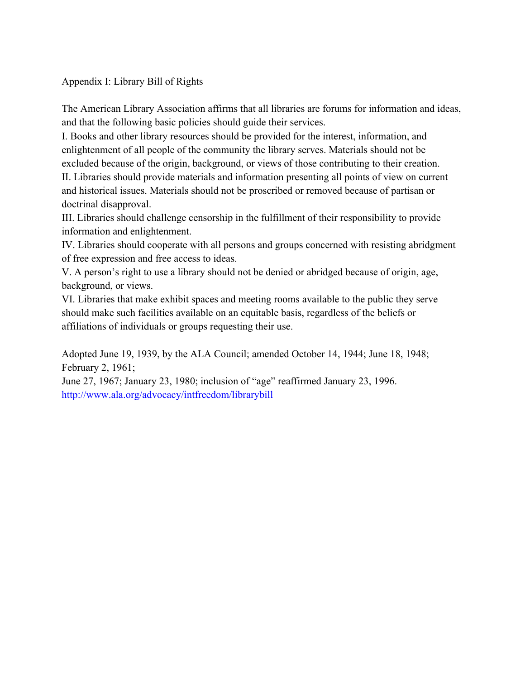Appendix I: Library Bill of Rights

The American Library Association affirms that all libraries are forums for information and ideas, and that the following basic policies should guide their services.

I. Books and other library resources should be provided for the interest, information, and enlightenment of all people of the community the library serves. Materials should not be excluded because of the origin, background, or views of those contributing to their creation. II. Libraries should provide materials and information presenting all points of view on current

and historical issues. Materials should not be proscribed or removed because of partisan or doctrinal disapproval.

III. Libraries should challenge censorship in the fulfillment of their responsibility to provide information and enlightenment.

IV. Libraries should cooperate with all persons and groups concerned with resisting abridgment of free expression and free access to ideas.

V. A person's right to use a library should not be denied or abridged because of origin, age, background, or views.

VI. Libraries that make exhibit spaces and meeting rooms available to the public they serve should make such facilities available on an equitable basis, regardless of the beliefs or affiliations of individuals or groups requesting their use.

Adopted June 19, 1939, by the ALA Council; amended October 14, 1944; June 18, 1948; February 2, 1961;

June 27, 1967; January 23, 1980; inclusion of "age" reaffirmed January 23, 1996. http://www.ala.org/advocacy/intfreedom/librarybill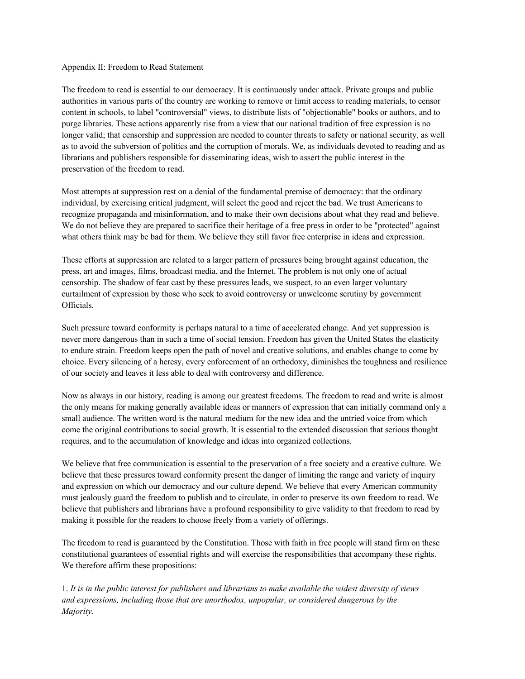#### Appendix II: Freedom to Read Statement

The freedom to read is essential to our democracy. It is continuously under attack. Private groups and public authorities in various parts of the country are working to remove or limit access to reading materials, to censor content in schools, to label "controversial" views, to distribute lists of "objectionable" books or authors, and to purge libraries. These actions apparently rise from a view that our national tradition of free expression is no longer valid; that censorship and suppression are needed to counter threats to safety or national security, as well as to avoid the subversion of politics and the corruption of morals. We, as individuals devoted to reading and as librarians and publishers responsible for disseminating ideas, wish to assert the public interest in the preservation of the freedom to read.

Most attempts at suppression rest on a denial of the fundamental premise of democracy: that the ordinary individual, by exercising critical judgment, will select the good and reject the bad. We trust Americans to recognize propaganda and misinformation, and to make their own decisions about what they read and believe. We do not believe they are prepared to sacrifice their heritage of a free press in order to be "protected" against what others think may be bad for them. We believe they still favor free enterprise in ideas and expression.

These efforts at suppression are related to a larger pattern of pressures being brought against education, the press, art and images, films, broadcast media, and the Internet. The problem is not only one of actual censorship. The shadow of fear cast by these pressures leads, we suspect, to an even larger voluntary curtailment of expression by those who seek to avoid controversy or unwelcome scrutiny by government Officials.

Such pressure toward conformity is perhaps natural to a time of accelerated change. And yet suppression is never more dangerous than in such a time of social tension. Freedom has given the United States the elasticity to endure strain. Freedom keeps open the path of novel and creative solutions, and enables change to come by choice. Every silencing of a heresy, every enforcement of an orthodoxy, diminishes the toughness and resilience of our society and leaves it less able to deal with controversy and difference.

Now as always in our history, reading is among our greatest freedoms. The freedom to read and write is almost the only means for making generally available ideas or manners of expression that can initially command only a small audience. The written word is the natural medium for the new idea and the untried voice from which come the original contributions to social growth. It is essential to the extended discussion that serious thought requires, and to the accumulation of knowledge and ideas into organized collections.

We believe that free communication is essential to the preservation of a free society and a creative culture. We believe that these pressures toward conformity present the danger of limiting the range and variety of inquiry and expression on which our democracy and our culture depend. We believe that every American community must jealously guard the freedom to publish and to circulate, in order to preserve its own freedom to read. We believe that publishers and librarians have a profound responsibility to give validity to that freedom to read by making it possible for the readers to choose freely from a variety of offerings.

The freedom to read is guaranteed by the Constitution. Those with faith in free people will stand firm on these constitutional guarantees of essential rights and will exercise the responsibilities that accompany these rights. We therefore affirm these propositions:

1. *It is in the public interest for publishers and librarians to make available the widest diversity of views and expressions, including those that are unorthodox, unpopular, or considered dangerous by the Majority.*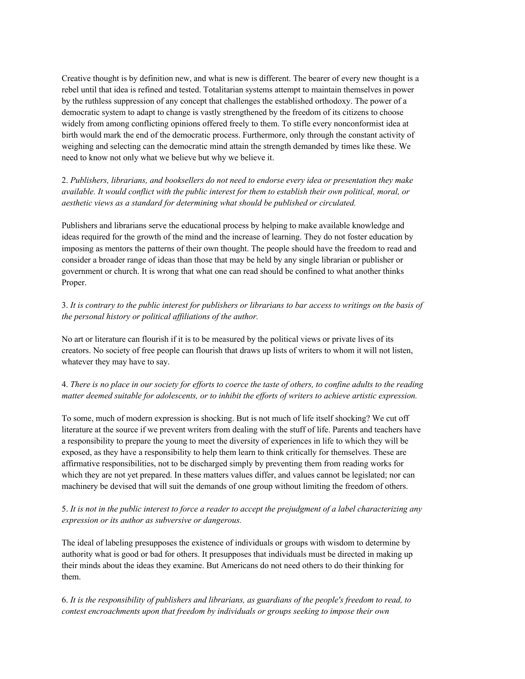Creative thought is by definition new, and what is new is different. The bearer of every new thought is a rebel until that idea is refined and tested. Totalitarian systems attempt to maintain themselves in power by the ruthless suppression of any concept that challenges the established orthodoxy. The power of a democratic system to adapt to change is vastly strengthened by the freedom of its citizens to choose widely from among conflicting opinions offered freely to them. To stifle every nonconformist idea at birth would mark the end of the democratic process. Furthermore, only through the constant activity of weighing and selecting can the democratic mind attain the strength demanded by times like these. We need to know not only what we believe but why we believe it.

2. *Publishers, librarians, and booksellers do not need to endorse every idea or presentation they make available. It would conflict with the public interest for them to establish their own political, moral, or aesthetic views as a standard for determining what should be published or circulated.*

Publishers and librarians serve the educational process by helping to make available knowledge and ideas required for the growth of the mind and the increase of learning. They do not foster education by imposing as mentors the patterns of their own thought. The people should have the freedom to read and consider a broader range of ideas than those that may be held by any single librarian or publisher or government or church. It is wrong that what one can read should be confined to what another thinks Proper.

3. *It is contrary to the public interest for publishers or librarians to bar access to writings on the basis of the personal history or political affiliations of the author.*

No art or literature can flourish if it is to be measured by the political views or private lives of its creators. No society of free people can flourish that draws up lists of writers to whom it will not listen, whatever they may have to say.

#### 4. *There is no place in our society for efforts to coerce the taste of others, to confine adults to the reading matter deemed suitable for adolescents, or to inhibit the efforts of writers to achieve artistic expression.*

To some, much of modern expression is shocking. But is not much of life itself shocking? We cut off literature at the source if we prevent writers from dealing with the stuff of life. Parents and teachers have a responsibility to prepare the young to meet the diversity of experiences in life to which they will be exposed, as they have a responsibility to help them learn to think critically for themselves. These are affirmative responsibilities, not to be discharged simply by preventing them from reading works for which they are not yet prepared. In these matters values differ, and values cannot be legislated; nor can machinery be devised that will suit the demands of one group without limiting the freedom of others.

#### 5. *It is not in the public interest to force a reader to accept the prejudgment of a label characterizing any expression or its author as subversive or dangerous.*

The ideal of labeling presupposes the existence of individuals or groups with wisdom to determine by authority what is good or bad for others. It presupposes that individuals must be directed in making up their minds about the ideas they examine. But Americans do not need others to do their thinking for them.

6. *It is the responsibility of publishers and librarians, as guardians of the people's freedom to read, to contest encroachments upon that freedom by individuals or groups seeking to impose their own*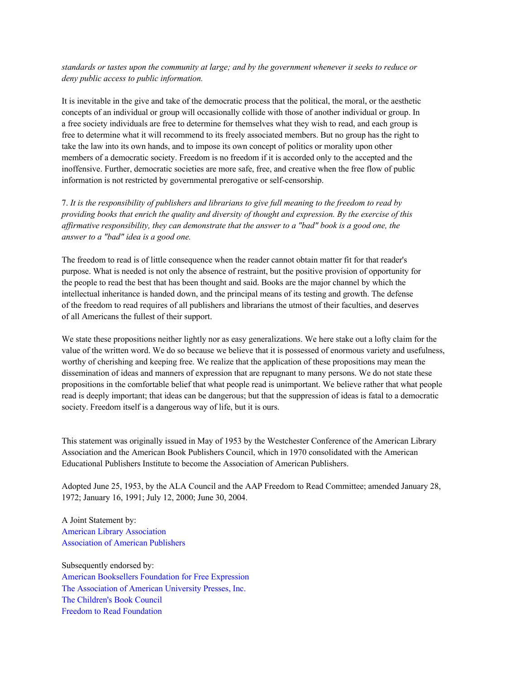*standards or tastes upon the community at large; and by the government whenever it seeks to reduce or deny public access to public information.*

It is inevitable in the give and take of the democratic process that the political, the moral, or the aesthetic concepts of an individual or group will occasionally collide with those of another individual or group. In a free society individuals are free to determine for themselves what they wish to read, and each group is free to determine what it will recommend to its freely associated members. But no group has the right to take the law into its own hands, and to impose its own concept of politics or morality upon other members of a democratic society. Freedom is no freedom if it is accorded only to the accepted and the inoffensive. Further, democratic societies are more safe, free, and creative when the free flow of public information is not restricted by governmental prerogative or self-censorship.

7. *It is the responsibility of publishers and librarians to give full meaning to the freedom to read by providing books that enrich the quality and diversity of thought and expression. By the exercise of this affirmative responsibility, they can demonstrate that the answer to a "bad" book is a good one, the answer to a "bad" idea is a good one.*

The freedom to read is of little consequence when the reader cannot obtain matter fit for that reader's purpose. What is needed is not only the absence of restraint, but the positive provision of opportunity for the people to read the best that has been thought and said. Books are the major channel by which the intellectual inheritance is handed down, and the principal means of its testing and growth. The defense of the freedom to read requires of all publishers and librarians the utmost of their faculties, and deserves of all Americans the fullest of their support.

We state these propositions neither lightly nor as easy generalizations. We here stake out a lofty claim for the value of the written word. We do so because we believe that it is possessed of enormous variety and usefulness, worthy of cherishing and keeping free. We realize that the application of these propositions may mean the dissemination of ideas and manners of expression that are repugnant to many persons. We do not state these propositions in the comfortable belief that what people read is unimportant. We believe rather that what people read is deeply important; that ideas can be dangerous; but that the suppression of ideas is fatal to a democratic society. Freedom itself is a dangerous way of life, but it is ours.

This statement was originally issued in May of 1953 by the Westchester Conference of the American Library Association and the American Book Publishers Council, which in 1970 consolidated with the American Educational Publishers Institute to become the Association of American Publishers.

Adopted June 25, 1953, by the ALA Council and the AAP Freedom to Read Committee; amended January 28, 1972; January 16, 1991; July 12, 2000; June 30, 2004.

A Joint Statement by: American Library Association Association of American Publishers

Subsequently endorsed by: American Booksellers Foundation for Free Expression The Association of American University Presses, Inc. The Children's Book Council Freedom to Read Foundation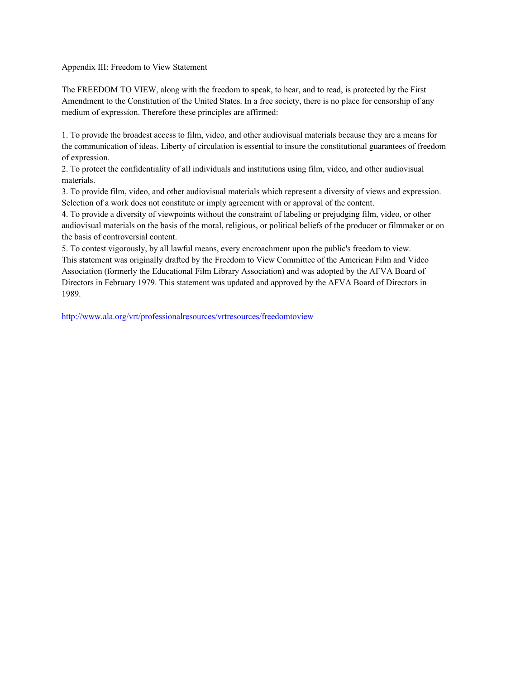Appendix III: Freedom to View Statement

The FREEDOM TO VIEW, along with the freedom to speak, to hear, and to read, is protected by the First Amendment to the Constitution of the United States. In a free society, there is no place for censorship of any medium of expression. Therefore these principles are affirmed:

1. To provide the broadest access to film, video, and other audiovisual materials because they are a means for the communication of ideas. Liberty of circulation is essential to insure the constitutional guarantees of freedom of expression.

2. To protect the confidentiality of all individuals and institutions using film, video, and other audiovisual materials.

3. To provide film, video, and other audiovisual materials which represent a diversity of views and expression. Selection of a work does not constitute or imply agreement with or approval of the content.

4. To provide a diversity of viewpoints without the constraint of labeling or prejudging film, video, or other audiovisual materials on the basis of the moral, religious, or political beliefs of the producer or filmmaker or on the basis of controversial content.

5. To contest vigorously, by all lawful means, every encroachment upon the public's freedom to view. This statement was originally drafted by the Freedom to View Committee of the American Film and Video Association (formerly the Educational Film Library Association) and was adopted by the AFVA Board of Directors in February 1979. This statement was updated and approved by the AFVA Board of Directors in 1989.

http://www.ala.org/vrt/professionalresources/vrtresources/freedomtoview